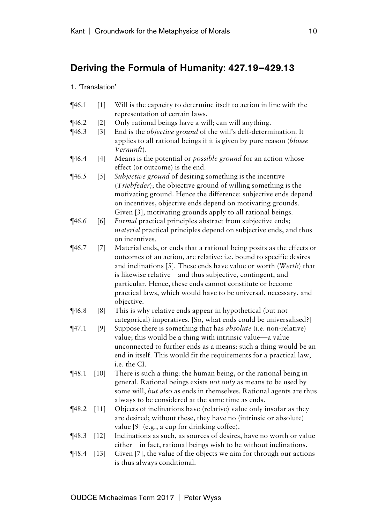## Deriving the Formula of Humanity: 427.19–429.13

## 1. 'Translation'

- $\P$ 46.1 [1] Will is the capacity to determine itself to action in line with the representation of certain laws.
- ¶46.2 [2] Only rational beings have a will; can will anything.
- ¶46.3 [3] End is the *objective ground* of the will's delf-determination. It applies to all rational beings if it is given by pure reason (*blosse Vernunft*).
- ¶46.4 [4] Means is the potential or *possible ground* for an action whose effect (or outcome) is the end.
- ¶46.5 [5] *Subjective ground* of desiring something is the incentive (*Triebfeder*); the objective ground of willing something is the motivating ground. Hence the difference: subjective ends depend on incentives, objective ends depend on motivating grounds. Given [3], motivating grounds apply to all rational beings.
- ¶46.6 [6] *Formal* practical principles abstract from subjective ends; *material* practical principles depend on subjective ends, and thus on incentives.
- ¶46.7 [7] Material ends, or ends that a rational being posits as the effects or outcomes of an action, are relative: i.e. bound to specific desires and inclinations [5]. These ends have value or worth (*Werth*) that is likewise relative—and thus subjective, contingent, and particular. Hence, these ends cannot constitute or become practical laws, which would have to be universal, necessary, and objective.
- ¶46.8 [8] This is why relative ends appear in hypothetical (but not categorical) imperatives. [So, what ends could be universalised?]
- ¶47.1 [9] Suppose there is something that has *absolute* (i.e. non-relative) value; this would be a thing with intrinsic value—a value unconnected to further ends as a means: such a thing would be an end in itself. This would fit the requirements for a practical law, i.e. the CI.
- ¶48.1 [10] There is such a thing: the human being, or the rational being in general. Rational beings exists *not only* as means to be used by some will, *but also* as ends in themselves. Rational agents are thus always to be considered at the same time as ends.
- ¶48.2 [11] Objects of inclinations have (relative) value only insofar as they are desired; without these, they have no (intrinsic or absolute) value [9] (e.g., a cup for drinking coffee).
- ¶48.3 [12] Inclinations as such, as sources of desires, have no worth or value either—in fact, rational beings wish to be without inclinations.
- $\P$ 48.4 [13] Given [7], the value of the objects we aim for through our actions is thus always conditional.